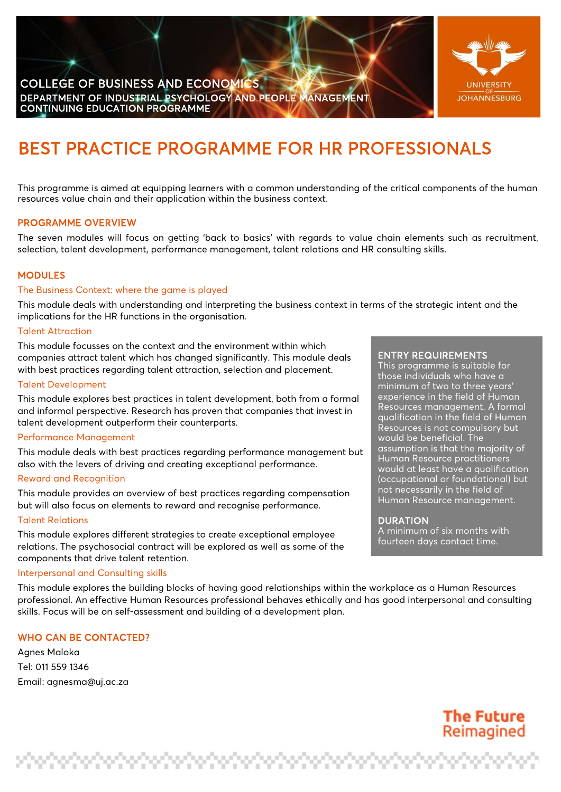

# BEST PRACTICE PROGRAMME FOR HR PROFESSIONALS

This programme is aimed at equipping learners with a common understanding of the critical components of the human resources value chain and their application within the business context.

## PROGRAMME OVERVIEW

The seven modules will focus on getting 'back to basics' with regards to value chain elements such as recruitment, selection, talent development, performance management, talent relations and HR consulting skills.

#### MODULES

#### The Business Context: where the game is played

This module deals with understanding and interpreting the business context in terms of the strategic intent and the implications for the HR functions in the organisation.

#### Talent Attraction

This module focusses on the context and the environment within which companies attract talent which has changed significantly. This module deals with best practices regarding talent attraction, selection and placement.

#### Talent Development

This module explores best practices in talent development, both from a formal and informal perspective. Research has proven that companies that invest in talent development outperform their counterparts.

#### Performance Management

This module deals with best practices regarding performance management but also with the levers of driving and creating exceptional performance.

#### Reward and Recognition

This module provides an overview of best practices regarding compensation but will also focus on elements to reward and recognise performance.

### Talent Relations

This module explores different strategies to create exceptional employee relations. The psychosocial contract will be explored as well as some of the components that drive talent retention.

#### Interpersonal and Consulting skills

This module explores the building blocks of having good relationships within the workplace as a Human Resources professional. An effective Human Resources professional behaves ethically and has good interpersonal and consulting skills. Focus will be on self-assessment and building of a development plan.

## WHO CAN BE CONTACTED?

Agnes Maloka Tel: 011 559 1346 Email: [agnesma@uj.ac.za](mailto:agnesma@uj.ac.za)

### ENTRY REQUIREMENTS

This programme is suitable for those individuals who have a minimum of two to three years' experience in the field of Human Resources management. A formal qualification in the field of Human Resources is not compulsory but would be beneficial. The assumption is that the majority of Human Resource practitioners would at least have a qualification (occupational or foundational) but not necessarily in the field of Human Resource management.

#### DURATION

A minimum of six months with fourteen days contact time.